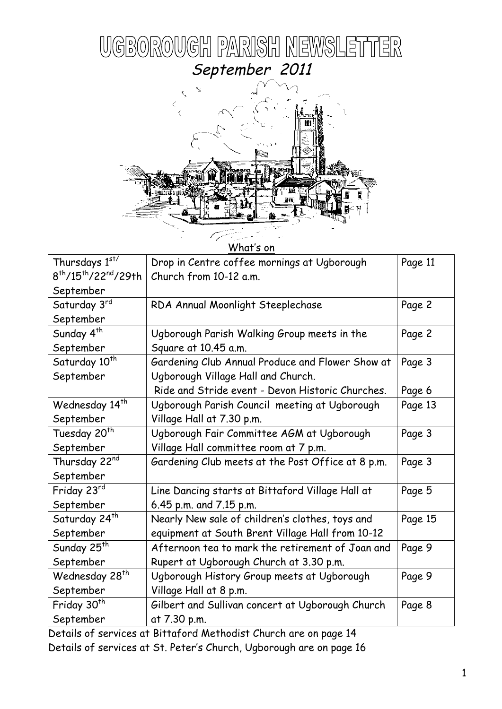

What's on

| Thursdays 1st/                | Drop in Centre coffee mornings at Ugborough       | Page 11 |
|-------------------------------|---------------------------------------------------|---------|
| $8^{th}/15^{th}/22^{nd}/29th$ | Church from 10-12 a.m.                            |         |
| September                     |                                                   |         |
| Saturday 3rd                  | RDA Annual Moonlight Steeplechase                 | Page 2  |
| September                     |                                                   |         |
| Sunday 4 <sup>th</sup>        | Ugborough Parish Walking Group meets in the       | Page 2  |
| September                     | Square at 10.45 a.m.                              |         |
| Saturday 10 <sup>th</sup>     | Gardening Club Annual Produce and Flower Show at  | Page 3  |
| September                     | Ugborough Village Hall and Church.                |         |
|                               | Ride and Stride event - Devon Historic Churches.  | Page 6  |
| Wednesday 14 <sup>th</sup>    | Ugborough Parish Council meeting at Ugborough     | Page 13 |
| September                     | Village Hall at 7.30 p.m.                         |         |
| Tuesday 20 <sup>th</sup>      | Ugborough Fair Committee AGM at Ugborough         | Page 3  |
| September                     | Village Hall committee room at 7 p.m.             |         |
| Thursday 22nd                 | Gardening Club meets at the Post Office at 8 p.m. | Page 3  |
| September                     |                                                   |         |
| Friday 23rd                   | Line Dancing starts at Bittaford Village Hall at  | Page 5  |
| September                     | 6.45 p.m. and 7.15 p.m.                           |         |
| Saturday 24 <sup>th</sup>     | Nearly New sale of children's clothes, toys and   | Page 15 |
| September                     | equipment at South Brent Village Hall from 10-12  |         |
| Sunday 25 <sup>th</sup>       | Afternoon tea to mark the retirement of Joan and  | Page 9  |
| September                     | Rupert at Ugborough Church at 3.30 p.m.           |         |
| Wednesday 28 <sup>th</sup>    | Ugborough History Group meets at Ugborough        | Page 9  |
| September                     | Village Hall at 8 p.m.                            |         |
| Friday 30 <sup>th</sup>       | Gilbert and Sullivan concert at Ugborough Church  | Page 8  |
| September                     | at 7.30 p.m.                                      |         |

 Details of services at Bittaford Methodist Church are on page 14 Details of services at St. Peter's Church, Ugborough are on page 16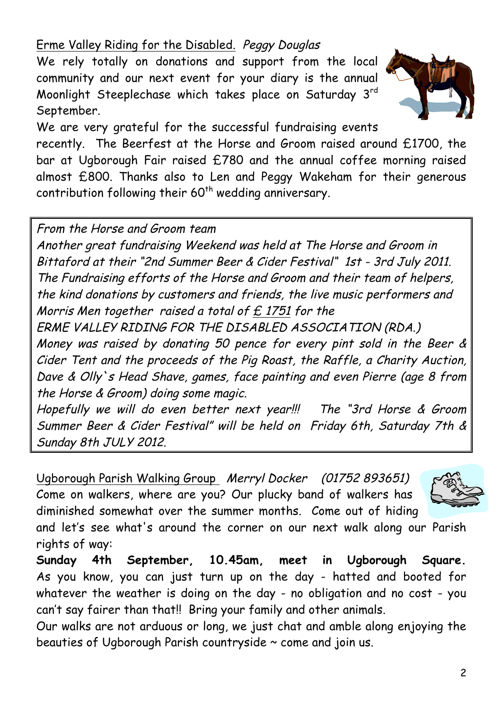# Erme Valley Riding for the Disabled. Peggy Douglas

We rely totally on donations and support from the local community and our next event for your diary is the annual Moonlight Steeplechase which takes place on Saturday 3rd September.



We are very grateful for the successful fundraising events

recently. The Beerfest at the Horse and Groom raised around £1700, the bar at Ugborough Fair raised £780 and the annual coffee morning raised almost £800. Thanks also to Len and Peggy Wakeham for their generous contribution following their 60<sup>th</sup> wedding anniversary.

From the Horse and Groom team

Another great fundraising Weekend was held at The Horse and Groom in Bittaford at their "2nd Summer Beer & Cider Festival" 1st - 3rd July 2011. The Fundraising efforts of the Horse and Groom and their team of helpers, the kind donations by customers and friends, the live music performers and Morris Men together raised a total of  $E$  1751 for the

ERME VALLEY RIDING FOR THE DISABLED ASSOCIATION (RDA.)

Money was raised by donating 50 pence for every pint sold in the Beer & Cider Tent and the proceeds of the Pig Roast, the Raffle, a Charity Auction, Dave & Olly`s Head Shave, games, face painting and even Pierre (age 8 from the Horse & Groom) doing some magic.

Hopefully we will do even better next year!!! The "3rd Horse & Groom Summer Beer & Cider Festival" will be held on Friday 6th, Saturday 7th & Sunday 8th JULY 2012.

Ugborough Parish Walking Group Merryl Docker (01752 893651) Come on walkers, where are you? Our plucky band of walkers has diminished somewhat over the summer months. Come out of hiding



and let's see what's around the corner on our next walk along our Parish rights of way:

**Sunday 4th September, 10.45am, meet in Ugborough Square.** As you know, you can just turn up on the day - hatted and booted for whatever the weather is doing on the day - no obligation and no cost - you can't say fairer than that!! Bring your family and other animals.

Our walks are not arduous or long, we just chat and amble along enjoying the beauties of Ugborough Parish countryside ~ come and join us.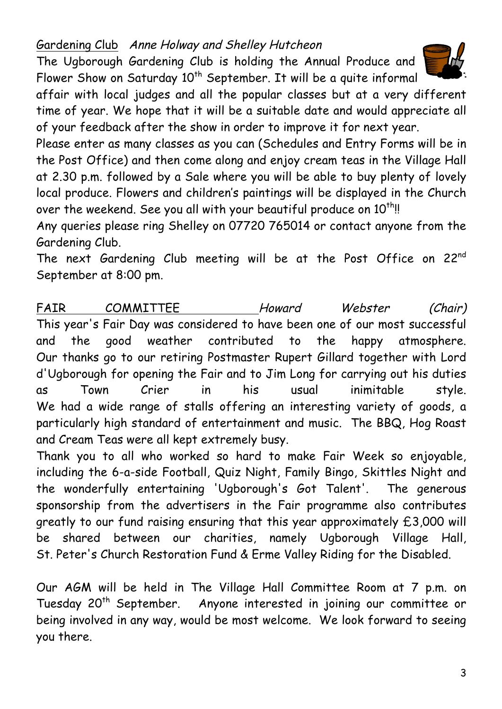Gardening Club Anne Holway and Shelley Hutcheon

The Ugborough Gardening Club is holding the Annual Produce and Flower Show on Saturday  $10^{th}$  September. It will be a quite informal



affair with local judges and all the popular classes but at a very different time of year. We hope that it will be a suitable date and would appreciate all of your feedback after the show in order to improve it for next year.

Please enter as many classes as you can (Schedules and Entry Forms will be in the Post Office) and then come along and enjoy cream teas in the Village Hall at 2.30 p.m. followed by a Sale where you will be able to buy plenty of lovely local produce. Flowers and children's paintings will be displayed in the Church over the weekend. See you all with your beautiful produce on 10<sup>th</sup>!!

Any queries please ring Shelley on 07720 765014 or contact anyone from the Gardening Club.

The next Gardening Club meeting will be at the Post Office on 22nd September at 8:00 pm.

FAIR COMMITTEE Howard Webster (Chair) This year's Fair Day was considered to have been one of our most successful and the good weather contributed to the happy atmosphere. Our thanks go to our retiring Postmaster Rupert Gillard together with Lord d'Ugborough for opening the Fair and to Jim Long for carrying out his duties as Town Crier in his usual inimitable style. We had a wide range of stalls offering an interesting variety of goods, a particularly high standard of entertainment and music. The BBQ, Hog Roast and Cream Teas were all kept extremely busy.

Thank you to all who worked so hard to make Fair Week so enjoyable, including the 6-a-side Football, Quiz Night, Family Bingo, Skittles Night and the wonderfully entertaining 'Ugborough's Got Talent'. The generous sponsorship from the advertisers in the Fair programme also contributes greatly to our fund raising ensuring that this year approximately £3,000 will be shared between our charities, namely Ugborough Village Hall, St. Peter's Church Restoration Fund & Erme Valley Riding for the Disabled.

Our AGM will be held in The Village Hall Committee Room at 7 p.m. on Tuesday 20<sup>th</sup> September. Anyone interested in joining our committee or being involved in any way, would be most welcome. We look forward to seeing you there.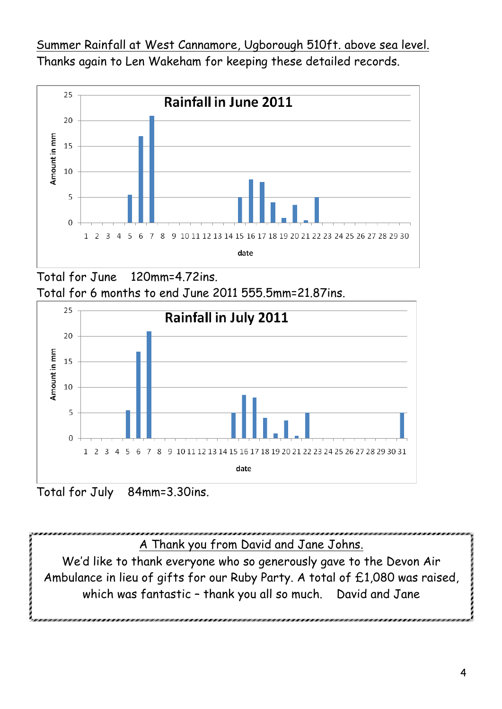Summer Rainfall at West Cannamore, Ugborough 510ft. above sea level. Thanks again to Len Wakeham for keeping these detailed records.



Total for June 120mm=4.72ins. Total for 6 months to end June 2011 555.5mm=21.87ins.



Total for July 84mm=3.30ins.

A Thank you from David and Jane Johns.

We'd like to thank everyone who so generously gave to the Devon Air Ambulance in lieu of gifts for our Ruby Party. A total of £1,080 was raised, which was fantastic – thank you all so much. David and Jane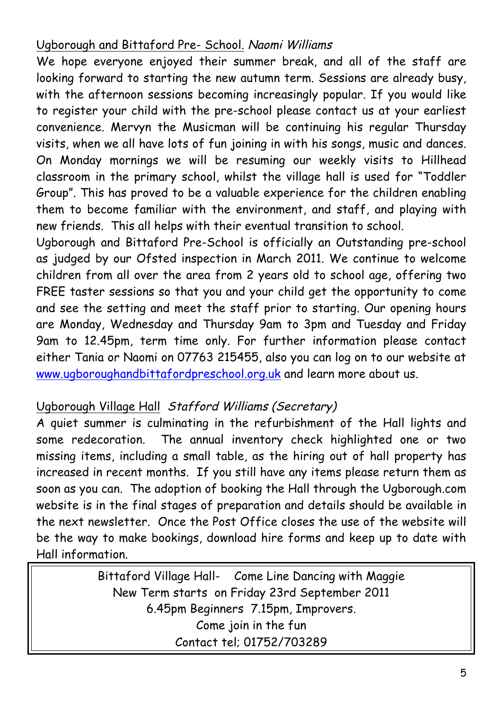# Ugborough and Bittaford Pre- School. Naomi Williams

We hope everyone enjoyed their summer break, and all of the staff are looking forward to starting the new autumn term. Sessions are already busy, with the afternoon sessions becoming increasingly popular. If you would like to register your child with the pre-school please contact us at your earliest convenience. Mervyn the Musicman will be continuing his regular Thursday visits, when we all have lots of fun joining in with his songs, music and dances. On Monday mornings we will be resuming our weekly visits to Hillhead classroom in the primary school, whilst the village hall is used for "Toddler Group". This has proved to be a valuable experience for the children enabling them to become familiar with the environment, and staff, and playing with new friends. This all helps with their eventual transition to school.

Ugborough and Bittaford Pre-School is officially an Outstanding pre-school as judged by our Ofsted inspection in March 2011. We continue to welcome children from all over the area from 2 years old to school age, offering two FREE taster sessions so that you and your child get the opportunity to come and see the setting and meet the staff prior to starting. Our opening hours are Monday, Wednesday and Thursday 9am to 3pm and Tuesday and Friday 9am to 12.45pm, term time only. For further information please contact either Tania or Naomi on 07763 215455, also you can log on to our website at www.ugboroughandbittafordpreschool.org.uk and learn more about us.

## Ugborough Village Hall Stafford Williams (Secretary)

A quiet summer is culminating in the refurbishment of the Hall lights and some redecoration. The annual inventory check highlighted one or two missing items, including a small table, as the hiring out of hall property has increased in recent months. If you still have any items please return them as soon as you can. The adoption of booking the Hall through the Ugborough.com website is in the final stages of preparation and details should be available in the next newsletter. Once the Post Office closes the use of the website will be the way to make bookings, download hire forms and keep up to date with Hall information.

> Bittaford Village Hall- Come Line Dancing with Maggie New Term starts on Friday 23rd September 2011 6.45pm Beginners 7.15pm, Improvers. Come join in the fun Contact tel; 01752/703289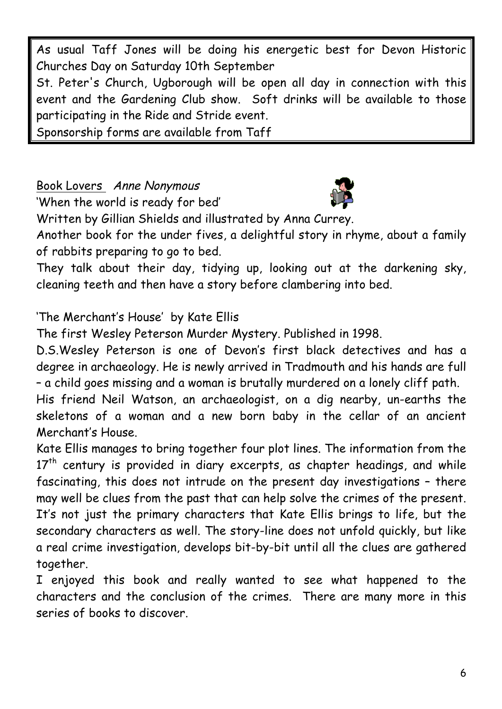As usual Taff Jones will be doing his energetic best for Devon Historic Churches Day on Saturday 10th September

St. Peter's Church, Ugborough will be open all day in connection with this event and the Gardening Club show. Soft drinks will be available to those participating in the Ride and Stride event.

Sponsorship forms are available from Taff

Book Lovers Anne Nonymous

'When the world is ready for bed'



Written by Gillian Shields and illustrated by Anna Currey.

Another book for the under fives, a delightful story in rhyme, about a family of rabbits preparing to go to bed.

They talk about their day, tidying up, looking out at the darkening sky, cleaning teeth and then have a story before clambering into bed.

'The Merchant's House' by Kate Ellis

The first Wesley Peterson Murder Mystery. Published in 1998.

D.S.Wesley Peterson is one of Devon's first black detectives and has a degree in archaeology. He is newly arrived in Tradmouth and his hands are full – a child goes missing and a woman is brutally murdered on a lonely cliff path.

His friend Neil Watson, an archaeologist, on a dig nearby, un-earths the skeletons of a woman and a new born baby in the cellar of an ancient Merchant's House.

Kate Ellis manages to bring together four plot lines. The information from the  $17<sup>th</sup>$  century is provided in diary excerpts, as chapter headings, and while fascinating, this does not intrude on the present day investigations – there may well be clues from the past that can help solve the crimes of the present. It's not just the primary characters that Kate Ellis brings to life, but the secondary characters as well. The story-line does not unfold quickly, but like a real crime investigation, develops bit-by-bit until all the clues are gathered together.

I enjoyed this book and really wanted to see what happened to the characters and the conclusion of the crimes. There are many more in this series of books to discover.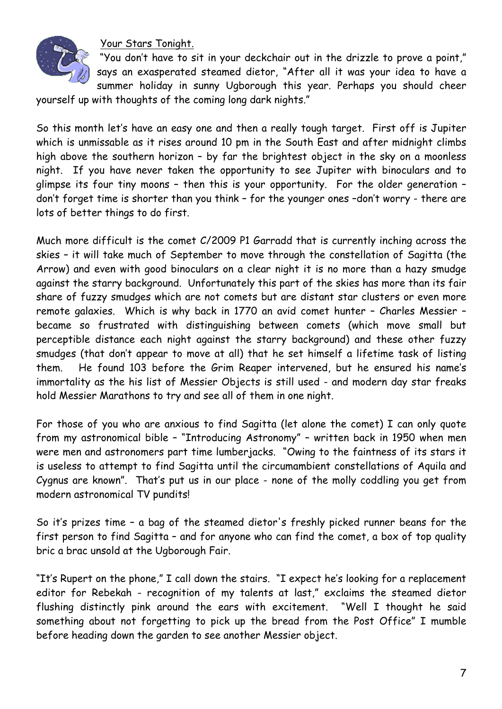

Your Stars Tonight.

"You don't have to sit in your deckchair out in the drizzle to prove a point," says an exasperated steamed dietor, "After all it was your idea to have a summer holiday in sunny Ugborough this year. Perhaps you should cheer

yourself up with thoughts of the coming long dark nights."

So this month let's have an easy one and then a really tough target. First off is Jupiter which is unmissable as it rises around 10 pm in the South East and after midnight climbs high above the southern horizon – by far the brightest object in the sky on a moonless night. If you have never taken the opportunity to see Jupiter with binoculars and to glimpse its four tiny moons – then this is your opportunity. For the older generation – don't forget time is shorter than you think – for the younger ones –don't worry - there are lots of better things to do first.

Much more difficult is the comet C/2009 P1 Garradd that is currently inching across the skies – it will take much of September to move through the constellation of Sagitta (the Arrow) and even with good binoculars on a clear night it is no more than a hazy smudge against the starry background. Unfortunately this part of the skies has more than its fair share of fuzzy smudges which are not comets but are distant star clusters or even more remote galaxies. Which is why back in 1770 an avid comet hunter – Charles Messier – became so frustrated with distinguishing between comets (which move small but perceptible distance each night against the starry background) and these other fuzzy smudges (that don't appear to move at all) that he set himself a lifetime task of listing them. He found 103 before the Grim Reaper intervened, but he ensured his name's immortality as the his list of Messier Objects is still used - and modern day star freaks hold Messier Marathons to try and see all of them in one night.

For those of you who are anxious to find Sagitta (let alone the comet) I can only quote from my astronomical bible – "Introducing Astronomy" – written back in 1950 when men were men and astronomers part time lumberjacks. "Owing to the faintness of its stars it is useless to attempt to find Sagitta until the circumambient constellations of Aquila and Cygnus are known". That's put us in our place - none of the molly coddling you get from modern astronomical TV pundits!

So it's prizes time – a bag of the steamed dietor's freshly picked runner beans for the first person to find Sagitta – and for anyone who can find the comet, a box of top quality bric a brac unsold at the Ugborough Fair.

"It's Rupert on the phone," I call down the stairs. "I expect he's looking for a replacement editor for Rebekah - recognition of my talents at last," exclaims the steamed dietor flushing distinctly pink around the ears with excitement. "Well I thought he said something about not forgetting to pick up the bread from the Post Office" I mumble before heading down the garden to see another Messier object.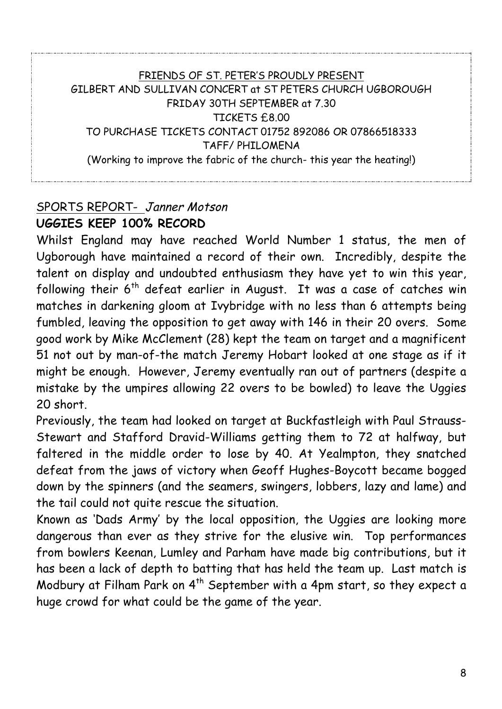#### FRIENDS OF ST. PETER'S PROUDLY PRESENT GILBERT AND SULLIVAN CONCERT at ST PETERS CHURCH UGBOROUGH FRIDAY 30TH SEPTEMBER at 7.30 TICKETS £8.00 TO PURCHASE TICKETS CONTACT 01752 892086 OR 07866518333 TAFF/ PHILOMENA (Working to improve the fabric of the church- this year the heating!)

#### SPORTS REPORT- Janner Motson **UGGIES KEEP 100% RECORD**

Whilst England may have reached World Number 1 status, the men of Ugborough have maintained a record of their own. Incredibly, despite the talent on display and undoubted enthusiasm they have yet to win this year, following their  $6<sup>th</sup>$  defeat earlier in August. It was a case of catches win matches in darkening gloom at Ivybridge with no less than 6 attempts being fumbled, leaving the opposition to get away with 146 in their 20 overs. Some good work by Mike McClement (28) kept the team on target and a magnificent 51 not out by man-of-the match Jeremy Hobart looked at one stage as if it might be enough. However, Jeremy eventually ran out of partners (despite a mistake by the umpires allowing 22 overs to be bowled) to leave the Uggies 20 short.

Previously, the team had looked on target at Buckfastleigh with Paul Strauss-Stewart and Stafford Dravid-Williams getting them to 72 at halfway, but faltered in the middle order to lose by 40. At Yealmpton, they snatched defeat from the jaws of victory when Geoff Hughes-Boycott became bogged down by the spinners (and the seamers, swingers, lobbers, lazy and lame) and the tail could not quite rescue the situation.

Known as 'Dads Army' by the local opposition, the Uggies are looking more dangerous than ever as they strive for the elusive win. Top performances from bowlers Keenan, Lumley and Parham have made big contributions, but it has been a lack of depth to batting that has held the team up. Last match is Modbury at Filham Park on  $4^{th}$  September with a 4pm start, so they expect a huge crowd for what could be the game of the year.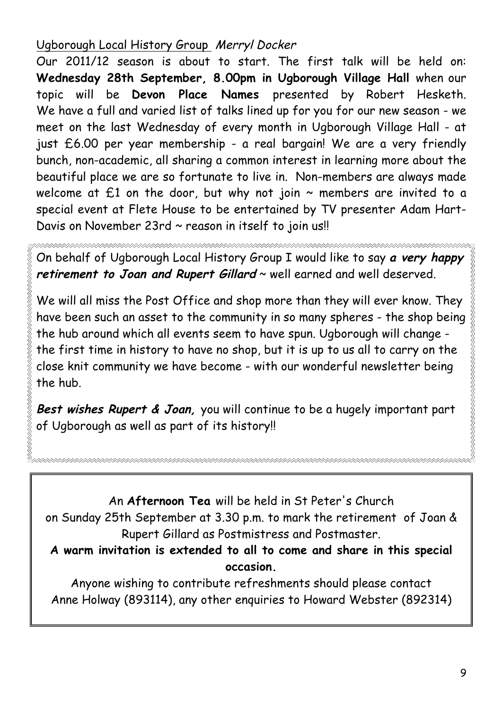# Ugborough Local History Group Merryl Docker

Our 2011/12 season is about to start. The first talk will be held on: **Wednesday 28th September, 8.00pm in Ugborough Village Hall** when our topic will be **Devon Place Names** presented by Robert Hesketh. We have a full and varied list of talks lined up for you for our new season - we meet on the last Wednesday of every month in Ugborough Village Hall - at just £6.00 per year membership - a real bargain! We are a very friendly bunch, non-academic, all sharing a common interest in learning more about the beautiful place we are so fortunate to live in. Non-members are always made welcome at  $£1$  on the door, but why not join  $\sim$  members are invited to a special event at Flete House to be entertained by TV presenter Adam Hart-Davis on November 23rd ~ reason in itself to join us!!

On behalf of Ugborough Local History Group I would like to say **a very happy retirement to Joan and Rupert Gillard** ~ well earned and well deserved.

We will all miss the Post Office and shop more than they will ever know. They have been such an asset to the community in so many spheres - the shop being the hub around which all events seem to have spun. Ugborough will change the first time in history to have no shop, but it is up to us all to carry on the close knit community we have become - with our wonderful newsletter being the hub.

**Best wishes Rupert & Joan,** you will continue to be a hugely important part of Ugborough as well as part of its history!!

An **Afternoon Tea** will be held in St Peter's Church on Sunday 25th September at 3.30 p.m. to mark the retirement of Joan & Rupert Gillard as Postmistress and Postmaster.

**A warm invitation is extended to all to come and share in this special occasion.**

Anyone wishing to contribute refreshments should please contact Anne Holway (893114), any other enquiries to Howard Webster (892314)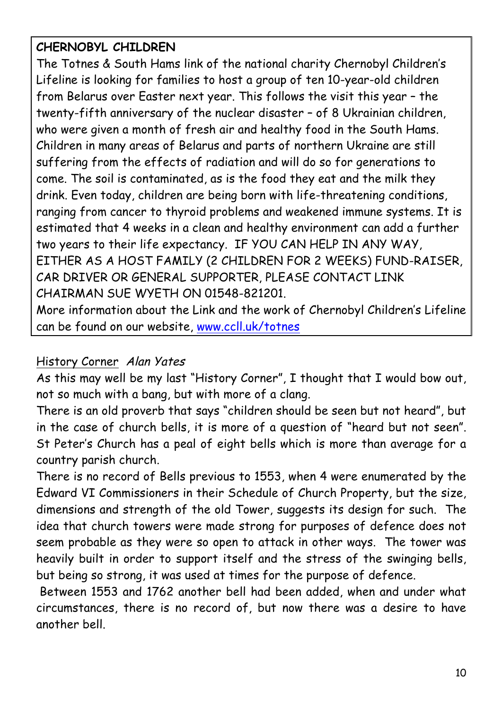# **CHERNOBYL CHILDREN**

The Totnes & South Hams link of the national charity Chernobyl Children's Lifeline is looking for families to host a group of ten 10-year-old children from Belarus over Easter next year. This follows the visit this year – the twenty-fifth anniversary of the nuclear disaster – of 8 Ukrainian children, who were given a month of fresh air and healthy food in the South Hams. Children in many areas of Belarus and parts of northern Ukraine are still suffering from the effects of radiation and will do so for generations to come. The soil is contaminated, as is the food they eat and the milk they drink. Even today, children are being born with life-threatening conditions, ranging from cancer to thyroid problems and weakened immune systems. It is estimated that 4 weeks in a clean and healthy environment can add a further two years to their life expectancy. IF YOU CAN HELP IN ANY WAY, EITHER AS A HOST FAMILY (2 CHILDREN FOR 2 WEEKS) FUND-RAISER, CAR DRIVER OR GENERAL SUPPORTER, PLEASE CONTACT LINK CHAIRMAN SUE WYETH ON 01548-821201.

More information about the Link and the work of Chernobyl Children's Lifeline can be found on our website, www.ccll.uk/totnes

#### History Corner Alan Yates

As this may well be my last "History Corner", I thought that I would bow out, not so much with a bang, but with more of a clang.

There is an old proverb that says "children should be seen but not heard", but in the case of church bells, it is more of a question of "heard but not seen". St Peter's Church has a peal of eight bells which is more than average for a country parish church.

There is no record of Bells previous to 1553, when 4 were enumerated by the Edward VI Commissioners in their Schedule of Church Property, but the size, dimensions and strength of the old Tower, suggests its design for such. The idea that church towers were made strong for purposes of defence does not seem probable as they were so open to attack in other ways. The tower was heavily built in order to support itself and the stress of the swinging bells, but being so strong, it was used at times for the purpose of defence.

Between 1553 and 1762 another bell had been added, when and under what circumstances, there is no record of, but now there was a desire to have another bell.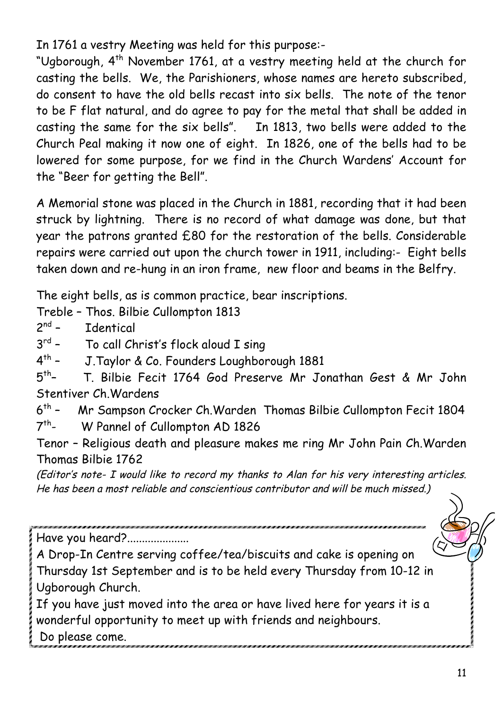In 1761 a vestry Meeting was held for this purpose:-

"Ugborough, 4<sup>th</sup> November 1761, at a vestry meeting held at the church for casting the bells. We, the Parishioners, whose names are hereto subscribed, do consent to have the old bells recast into six bells. The note of the tenor to be F flat natural, and do agree to pay for the metal that shall be added in casting the same for the six bells". In 1813, two bells were added to the Church Peal making it now one of eight. In 1826, one of the bells had to be lowered for some purpose, for we find in the Church Wardens' Account for the "Beer for getting the Bell".

A Memorial stone was placed in the Church in 1881, recording that it had been struck by lightning. There is no record of what damage was done, but that year the patrons granted £80 for the restoration of the bells. Considerable repairs were carried out upon the church tower in 1911, including:- Eight bells taken down and re-hung in an iron frame, new floor and beams in the Belfry.

The eight bells, as is common practice, bear inscriptions.

Treble – Thos. Bilbie Cullompton 1813

 $2^{nd}$  – Identical

3<sup>rd</sup> - To call Christ's flock aloud I sing

4th – J.Taylor & Co. Founders Loughborough 1881

 $5<sup>th</sup>$ – T. Bilbie Fecit 1764 God Preserve Mr Jonathan Gest & Mr John Stentiver Ch.Wardens

6th – Mr Sampson Crocker Ch.Warden Thomas Bilbie Cullompton Fecit 1804

7th- W Pannel of Cullompton AD 1826

Tenor – Religious death and pleasure makes me ring Mr John Pain Ch.Warden Thomas Bilbie 1762

(Editor's note- I would like to record my thanks to Alan for his very interesting articles. He has been a most reliable and conscientious contributor and will be much missed.)

Have you heard?.....................

A Drop-In Centre serving coffee/tea/biscuits and cake is opening on Thursday 1st September and is to be held every Thursday from 10-12 in Ugborough Church.

If you have just moved into the area or have lived here for years it is a wonderful opportunity to meet up with friends and neighbours.

Do please come.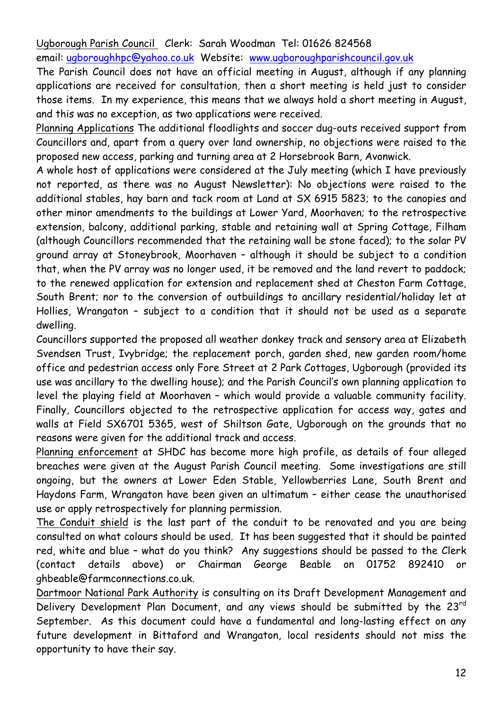Ugborough Parish Council Clerk: Sarah Woodman Tel: 01626 824568

email: ugboroughhpc@yahoo.co.uk Website: www.ugboroughparishcouncil.gov.uk

The Parish Council does not have an official meeting in August, although if any planning applications are received for consultation, then a short meeting is held just to consider those items. In my experience, this means that we always hold a short meeting in August, and this was no exception, as two applications were received.

Planning Applications The additional floodlights and soccer dug-outs received support from Councillors and, apart from a query over land ownership, no objections were raised to the proposed new access, parking and turning area at 2 Horsebrook Barn, Avonwick.

A whole host of applications were considered at the July meeting (which I have previously not reported, as there was no August Newsletter): No objections were raised to the additional stables, hay barn and tack room at Land at SX 6915 5823; to the canopies and other minor amendments to the buildings at Lower Yard, Moorhaven; to the retrospective extension, balcony, additional parking, stable and retaining wall at Spring Cottage, Filham (although Councillors recommended that the retaining wall be stone faced); to the solar PV ground array at Stoneybrook, Moorhaven – although it should be subject to a condition that, when the PV array was no longer used, it be removed and the land revert to paddock; to the renewed application for extension and replacement shed at Cheston Farm Cottage, South Brent; nor to the conversion of outbuildings to ancillary residential/holiday let at Hollies, Wrangaton – subject to a condition that it should not be used as a separate dwelling.

Councillors supported the proposed all weather donkey track and sensory area at Elizabeth Svendsen Trust, Ivybridge; the replacement porch, garden shed, new garden room/home office and pedestrian access only Fore Street at 2 Park Cottages, Ugborough (provided its use was ancillary to the dwelling house); and the Parish Council's own planning application to level the playing field at Moorhaven – which would provide a valuable community facility. Finally, Councillors objected to the retrospective application for access way, gates and walls at Field SX6701 5365, west of Shiltson Gate, Ugborough on the grounds that no reasons were given for the additional track and access.

Planning enforcement at SHDC has become more high profile, as details of four alleged breaches were given at the August Parish Council meeting. Some investigations are still ongoing, but the owners at Lower Eden Stable, Yellowberries Lane, South Brent and Haydons Farm, Wrangaton have been given an ultimatum – either cease the unauthorised use or apply retrospectively for planning permission.

The Conduit shield is the last part of the conduit to be renovated and you are being consulted on what colours should be used. It has been suggested that it should be painted red, white and blue – what do you think? Any suggestions should be passed to the Clerk (contact details above) or Chairman George Beable on 01752 892410 or ghbeable@farmconnections.co.uk.

Dartmoor National Park Authority is consulting on its Draft Development Management and Delivery Development Plan Document, and any views should be submitted by the 23<sup>rd</sup> September. As this document could have a fundamental and long-lasting effect on any future development in Bittaford and Wrangaton, local residents should not miss the opportunity to have their say.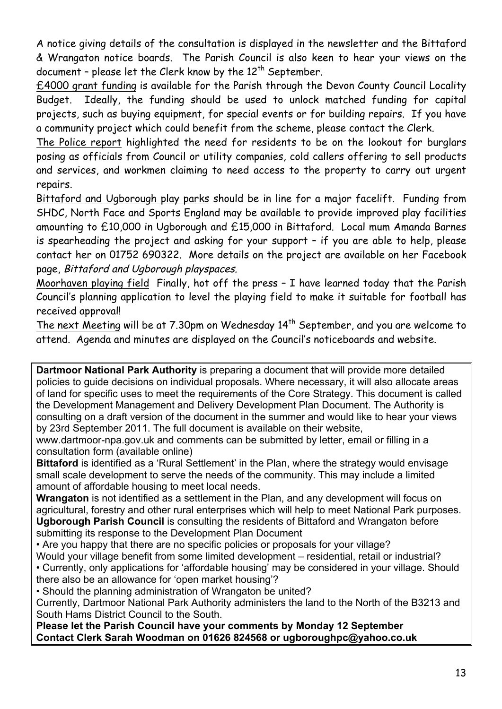A notice giving details of the consultation is displayed in the newsletter and the Bittaford & Wrangaton notice boards. The Parish Council is also keen to hear your views on the document - please let the Clerk know by the  $12<sup>th</sup>$  September.

£4000 grant funding is available for the Parish through the Devon County Council Locality Budget. Ideally, the funding should be used to unlock matched funding for capital projects, such as buying equipment, for special events or for building repairs. If you have a community project which could benefit from the scheme, please contact the Clerk.

The Police report highlighted the need for residents to be on the lookout for burglars posing as officials from Council or utility companies, cold callers offering to sell products and services, and workmen claiming to need access to the property to carry out urgent repairs.

Bittaford and Ugborough play parks should be in line for a major facelift. Funding from SHDC, North Face and Sports England may be available to provide improved play facilities amounting to £10,000 in Ugborough and £15,000 in Bittaford. Local mum Amanda Barnes is spearheading the project and asking for your support – if you are able to help, please contact her on 01752 690322. More details on the project are available on her Facebook page, Bittaford and Ugborough playspaces.

Moorhaven playing field Finally, hot off the press – I have learned today that the Parish Council's planning application to level the playing field to make it suitable for football has received approval!

The next Meeting will be at 7.30pm on Wednesday 14<sup>th</sup> September, and you are welcome to attend. Agenda and minutes are displayed on the Council's noticeboards and website.

**Dartmoor National Park Authority** is preparing a document that will provide more detailed policies to guide decisions on individual proposals. Where necessary, it will also allocate areas of land for specific uses to meet the requirements of the Core Strategy. This document is called the Development Management and Delivery Development Plan Document. The Authority is consulting on a draft version of the document in the summer and would like to hear your views by 23rd September 2011. The full document is available on their website,

www.dartmoor-npa.gov.uk and comments can be submitted by letter, email or filling in a consultation form (available online)

**Bittaford** is identified as a 'Rural Settlement' in the Plan, where the strategy would envisage small scale development to serve the needs of the community. This may include a limited amount of affordable housing to meet local needs.

**Wrangaton** is not identified as a settlement in the Plan, and any development will focus on agricultural, forestry and other rural enterprises which will help to meet National Park purposes. **Ugborough Parish Council** is consulting the residents of Bittaford and Wrangaton before submitting its response to the Development Plan Document

• Are you happy that there are no specific policies or proposals for your village?

Would your village benefit from some limited development – residential, retail or industrial?

• Currently, only applications for 'affordable housing' may be considered in your village. Should there also be an allowance for 'open market housing'?

• Should the planning administration of Wrangaton be united?

Currently, Dartmoor National Park Authority administers the land to the North of the B3213 and South Hams District Council to the South.

**Please let the Parish Council have your comments by Monday 12 September Contact Clerk Sarah Woodman on 01626 824568 or ugboroughpc@yahoo.co.uk**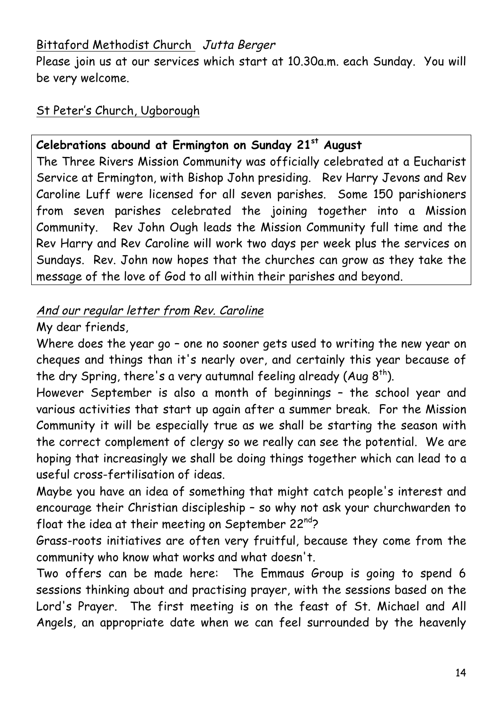# Bittaford Methodist Church Jutta Berger

Please join us at our services which start at 10.30a.m. each Sunday. You will be very welcome.

#### St Peter's Church, Ugborough

#### **Celebrations abound at Ermington on Sunday 21st August**

The Three Rivers Mission Community was officially celebrated at a Eucharist Service at Ermington, with Bishop John presiding. Rev Harry Jevons and Rev Caroline Luff were licensed for all seven parishes. Some 150 parishioners from seven parishes celebrated the joining together into a Mission Community. Rev John Ough leads the Mission Community full time and the Rev Harry and Rev Caroline will work two days per week plus the services on Sundays. Rev. John now hopes that the churches can grow as they take the message of the love of God to all within their parishes and beyond.

#### And our regular letter from Rev. Caroline

#### My dear friends,

Where does the year go – one no sooner gets used to writing the new year on cheques and things than it's nearly over, and certainly this year because of the dry Spring, there's a very autumnal feeling already (Aug  $8<sup>th</sup>$ ).

However September is also a month of beginnings – the school year and various activities that start up again after a summer break. For the Mission Community it will be especially true as we shall be starting the season with the correct complement of clergy so we really can see the potential. We are hoping that increasingly we shall be doing things together which can lead to a useful cross-fertilisation of ideas.

Maybe you have an idea of something that might catch people's interest and encourage their Christian discipleship – so why not ask your churchwarden to float the idea at their meeting on September 22 $^{nd}$ ?

Grass-roots initiatives are often very fruitful, because they come from the community who know what works and what doesn't.

Two offers can be made here: The Emmaus Group is going to spend 6 sessions thinking about and practising prayer, with the sessions based on the Lord's Prayer. The first meeting is on the feast of St. Michael and All Angels, an appropriate date when we can feel surrounded by the heavenly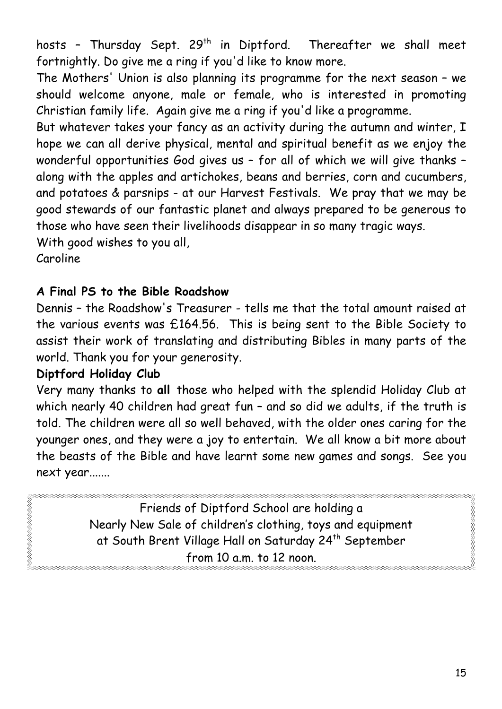hosts - Thursday Sept. 29<sup>th</sup> in Diptford. Thereafter we shall meet fortnightly. Do give me a ring if you'd like to know more.

The Mothers' Union is also planning its programme for the next season – we should welcome anyone, male or female, who is interested in promoting Christian family life. Again give me a ring if you'd like a programme.

But whatever takes your fancy as an activity during the autumn and winter, I hope we can all derive physical, mental and spiritual benefit as we enjoy the wonderful opportunities God gives us – for all of which we will give thanks – along with the apples and artichokes, beans and berries, corn and cucumbers, and potatoes & parsnips - at our Harvest Festivals. We pray that we may be good stewards of our fantastic planet and always prepared to be generous to those who have seen their livelihoods disappear in so many tragic ways.

With good wishes to you all,

Caroline

REAR AN SAN SAN SAN SAN

# **A Final PS to the Bible Roadshow**

Dennis – the Roadshow's Treasurer - tells me that the total amount raised at the various events was £164.56. This is being sent to the Bible Society to assist their work of translating and distributing Bibles in many parts of the world. Thank you for your generosity.

## **Diptford Holiday Club**

Very many thanks to **all** those who helped with the splendid Holiday Club at which nearly 40 children had great fun - and so did we adults, if the truth is told. The children were all so well behaved, with the older ones caring for the younger ones, and they were a joy to entertain. We all know a bit more about the beasts of the Bible and have learnt some new games and songs. See you next year.......

Friends of Diptford School are holding a Nearly New Sale of children's clothing, toys and equipment at South Brent Village Hall on Saturday 24<sup>th</sup> September from 10 a.m. to 12 noon.

S